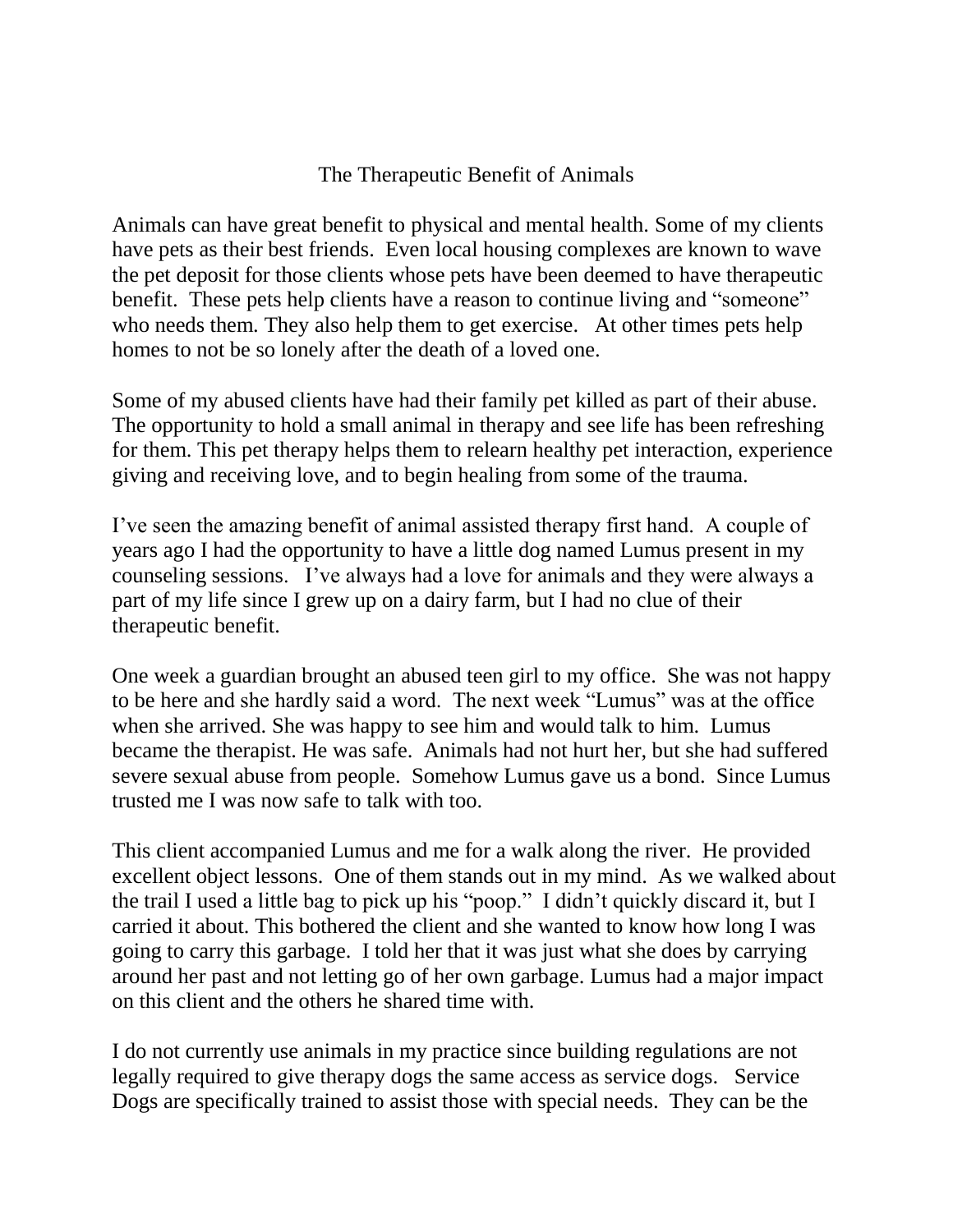## The Therapeutic Benefit of Animals

Animals can have great benefit to physical and mental health. Some of my clients have pets as their best friends. Even local housing complexes are known to wave the pet deposit for those clients whose pets have been deemed to have therapeutic benefit. These pets help clients have a reason to continue living and "someone" who needs them. They also help them to get exercise. At other times pets help homes to not be so lonely after the death of a loved one.

Some of my abused clients have had their family pet killed as part of their abuse. The opportunity to hold a small animal in therapy and see life has been refreshing for them. This pet therapy helps them to relearn healthy pet interaction, experience giving and receiving love, and to begin healing from some of the trauma.

I've seen the amazing benefit of animal assisted therapy first hand. A couple of years ago I had the opportunity to have a little dog named Lumus present in my counseling sessions. I've always had a love for animals and they were always a part of my life since I grew up on a dairy farm, but I had no clue of their therapeutic benefit.

One week a guardian brought an abused teen girl to my office. She was not happy to be here and she hardly said a word. The next week "Lumus" was at the office when she arrived. She was happy to see him and would talk to him. Lumus became the therapist. He was safe. Animals had not hurt her, but she had suffered severe sexual abuse from people. Somehow Lumus gave us a bond. Since Lumus trusted me I was now safe to talk with too.

This client accompanied Lumus and me for a walk along the river. He provided excellent object lessons. One of them stands out in my mind. As we walked about the trail I used a little bag to pick up his "poop." I didn't quickly discard it, but I carried it about. This bothered the client and she wanted to know how long I was going to carry this garbage. I told her that it was just what she does by carrying around her past and not letting go of her own garbage. Lumus had a major impact on this client and the others he shared time with.

I do not currently use animals in my practice since building regulations are not legally required to give therapy dogs the same access as service dogs. Service Dogs are specifically trained to assist those with special needs. They can be the